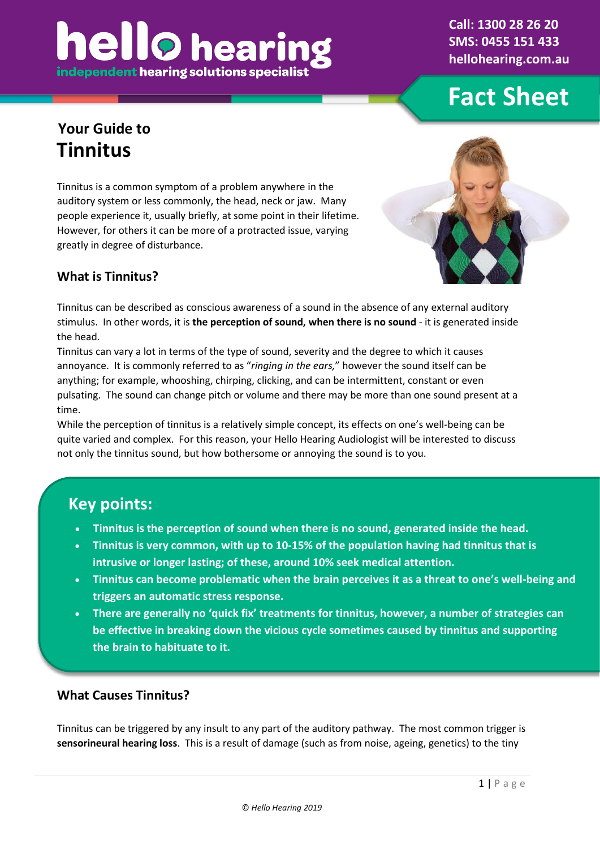# **hello** heari independent hearing solutions specialis

**Call: 1300 28 26 20 SMS: 0455 151 433 hellohearing.com.au**

## **Fact Sheet**

## **Your Guide to Tinnitus**

Tinnitus is a common symptom of a problem anywhere in the auditory system or less commonly, the head, neck or jaw. Many people experience it, usually briefly, at some point in their lifetime. However, for others it can be more of a protracted issue, varying greatly in degree of disturbance.



## **What is Tinnitus?**

Tinnitus can be described as conscious awareness of a sound in the absence of any external auditory stimulus. In other words, it is **the perception of sound, when there is no sound** - it is generated inside the head.

Tinnitus can vary a lot in terms of the type of sound, severity and the degree to which it causes annoyance. It is commonly referred to as "*ringing in the ears,*" however the sound itself can be anything; for example, whooshing, chirping, clicking, and can be intermittent, constant or even pulsating. The sound can change pitch or volume and there may be more than one sound present at a time.

While the perception of tinnitus is a relatively simple concept, its effects on one's well-being can be quite varied and complex. For this reason, your Hello Hearing Audiologist will be interested to discuss not only the tinnitus sound, but how bothersome or annoying the sound is to you.

## **Key points:**

- **Tinnitus is the perception of sound when there is no sound, generated inside the head.**
- **Tinnitus is very common, with up to 10-15% of the population having had tinnitus that is intrusive or longer lasting; of these, around 10% seek medical attention.**
- **Tinnitus can become problematic when the brain perceives it as a threat to one's well-being and triggers an automatic stress response.**
- **There are generally no 'quick fix' treatments for tinnitus, however, a number of strategies can be effective in breaking down the vicious cycle sometimes caused by tinnitus and supporting the brain to habituate to it.**

#### **What Causes Tinnitus?**

Tinnitus can be triggered by any insult to any part of the auditory pathway. The most common trigger is **sensorineural hearing loss**. This is a result of damage (such as from noise, ageing, genetics) to the tiny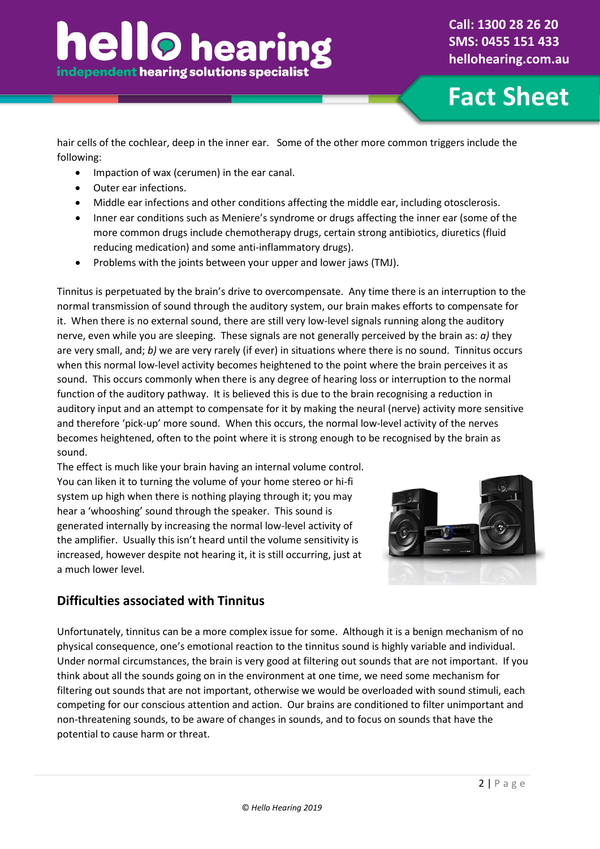**Fact Sheet**

hair cells of the cochlear, deep in the inner ear. Some of the other more common triggers include the following:

- Impaction of wax (cerumen) in the ear canal.
- Outer ear infections.
- Middle ear infections and other conditions affecting the middle ear, including otosclerosis.
- Inner ear conditions such as Meniere's syndrome or drugs affecting the inner ear (some of the more common drugs include chemotherapy drugs, certain strong antibiotics, diuretics (fluid reducing medication) and some anti-inflammatory drugs).
- Problems with the joints between your upper and lower jaws (TMJ).

Tinnitus is perpetuated by the brain's drive to overcompensate. Any time there is an interruption to the normal transmission of sound through the auditory system, our brain makes efforts to compensate for it. When there is no external sound, there are still very low-level signals running along the auditory nerve, even while you are sleeping. These signals are not generally perceived by the brain as: *a)* they are very small, and; *b)* we are very rarely (if ever) in situations where there is no sound. Tinnitus occurs when this normal low-level activity becomes heightened to the point where the brain perceives it as sound. This occurs commonly when there is any degree of hearing loss or interruption to the normal function of the auditory pathway. It is believed this is due to the brain recognising a reduction in auditory input and an attempt to compensate for it by making the neural (nerve) activity more sensitive and therefore 'pick-up' more sound. When this occurs, the normal low-level activity of the nerves becomes heightened, often to the point where it is strong enough to be recognised by the brain as sound.

The effect is much like your brain having an internal volume control. You can liken it to turning the volume of your home stereo or hi-fi system up high when there is nothing playing through it; you may hear a 'whooshing' sound through the speaker. This sound is generated internally by increasing the normal low-level activity of the amplifier. Usually this isn't heard until the volume sensitivity is increased, however despite not hearing it, it is still occurring, just at a much lower level.



## **Difficulties associated with Tinnitus**

Unfortunately, tinnitus can be a more complex issue for some. Although it is a benign mechanism of no physical consequence, one's emotional reaction to the tinnitus sound is highly variable and individual. Under normal circumstances, the brain is very good at filtering out sounds that are not important. If you think about all the sounds going on in the environment at one time, we need some mechanism for filtering out sounds that are not important, otherwise we would be overloaded with sound stimuli, each competing for our conscious attention and action. Our brains are conditioned to filter unimportant and non-threatening sounds, to be aware of changes in sounds, and to focus on sounds that have the potential to cause harm or threat.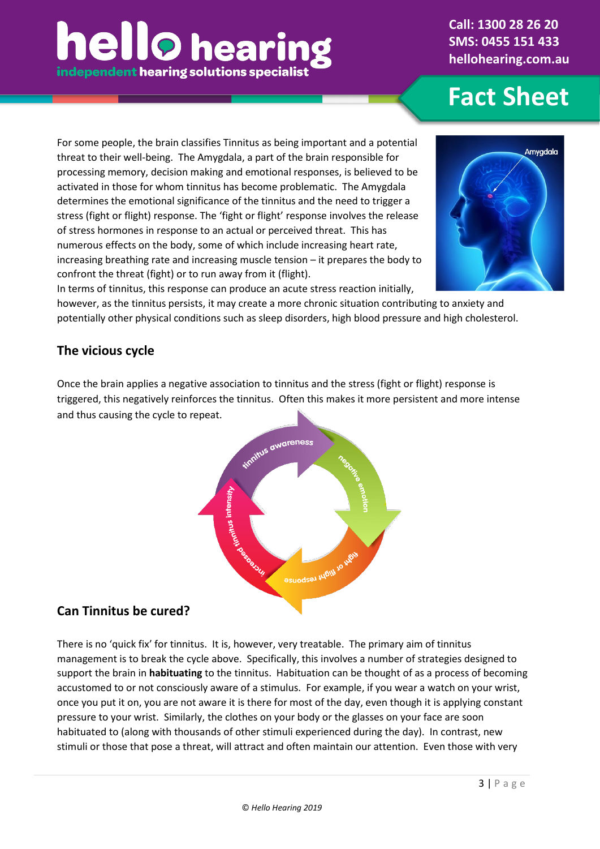# **hello** hearin independent hearing solutions specialist

**Call: 1300 28 26 20 SMS: 0455 151 433 hellohearing.com.au**

**Fact Sheet**

For some people, the brain classifies Tinnitus as being important and a potential threat to their well-being. The Amygdala, a part of the brain responsible for processing memory, decision making and emotional responses, is believed to be activated in those for whom tinnitus has become problematic. The Amygdala determines the emotional significance of the tinnitus and the need to trigger a stress (fight or flight) response. The 'fight or flight' response involves the release of stress hormones in response to an actual or perceived threat. This has numerous effects on the body, some of which include increasing heart rate, increasing breathing rate and increasing muscle tension – it prepares the body to confront the threat (fight) or to run away from it (flight).



In terms of tinnitus, this response can produce an acute stress reaction initially, however, as the tinnitus persists, it may create a more chronic situation contributing to anxiety and potentially other physical conditions such as sleep disorders, high blood pressure and high cholesterol.

## **The vicious cycle**

Once the brain applies a negative association to tinnitus and the stress (fight or flight) response is triggered, this negatively reinforces the tinnitus. Often this makes it more persistent and more intense and thus causing the cycle to repeat.



## **Can Tinnitus be cured?**

There is no 'quick fix' for tinnitus. It is, however, very treatable. The primary aim of tinnitus management is to break the cycle above. Specifically, this involves a number of strategies designed to support the brain in **habituating** to the tinnitus. Habituation can be thought of as a process of becoming accustomed to or not consciously aware of a stimulus. For example, if you wear a watch on your wrist, once you put it on, you are not aware it is there for most of the day, even though it is applying constant pressure to your wrist. Similarly, the clothes on your body or the glasses on your face are soon habituated to (along with thousands of other stimuli experienced during the day). In contrast, new stimuli or those that pose a threat, will attract and often maintain our attention. Even those with very